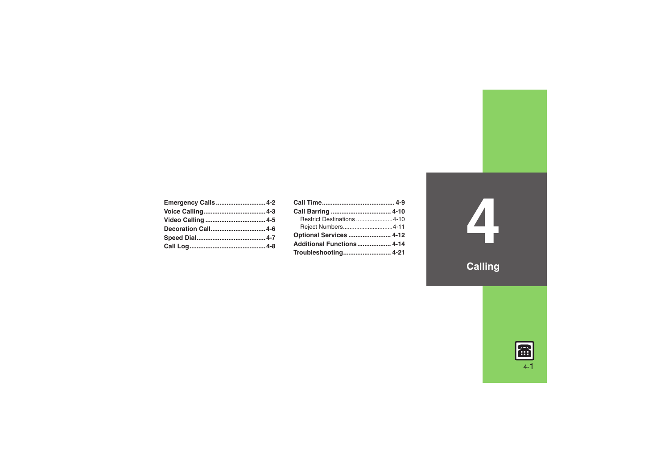| Emergency Calls 4-2 |  |
|---------------------|--|
|                     |  |
|                     |  |
| Decoration Call 4-6 |  |
|                     |  |
|                     |  |

| Restrict Destinations 4-10     |  |
|--------------------------------|--|
| Reject Numbers4-11             |  |
| <b>Optional Services  4-12</b> |  |
| Additional Functions 4-14      |  |
|                                |  |

**4**

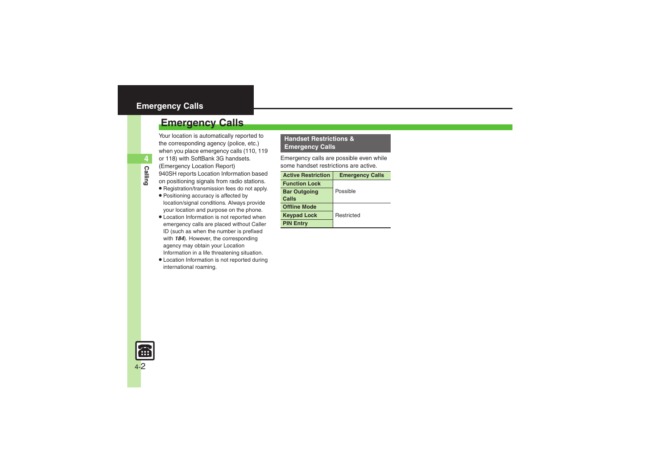### <span id="page-1-0"></span>**Emergency Calls**

Your location is automatically reported to the corresponding agency (police, etc.) when you place emergency calls (110, 119 or 118) with SoftBank 3G handsets. (Emergency Location Report) 940SH reports Location Information based on positioning signals from radio stations.

- . Registration/transmission fees do not apply.
- . Positioning accuracy is affected by location/signal conditions. Always provide your location and purpose on the phone.
- . Location Information is not reported when emergency calls are placed without Caller ID (such as when the number is prefixed with *184*). However, the corresponding agency may obtain your Location Information in a life threatening situation.
- . Location Information is not reported during international roaming.

#### **Handset Restrictions & Emergency Calls**

Emergency calls are possible even while some handset restrictions are active.

| <b>Active Restriction</b>    | <b>Emergency Calls</b> |  |
|------------------------------|------------------------|--|
| <b>Function Lock</b>         |                        |  |
| <b>Bar Outgoing</b><br>Calls | Possible               |  |
| <b>Offline Mode</b>          |                        |  |
| <b>Keypad Lock</b>           | Restricted             |  |
| <b>PIN Entry</b>             |                        |  |

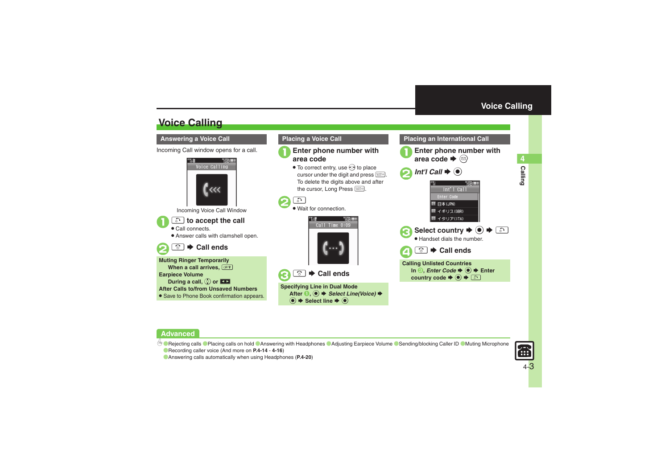Calling

## **Voice Calling**

#### <span id="page-2-1"></span>**Answering a Voice Call**

Incoming Call window opens for a call.



Incoming Voice Call Window

#### $\mathbf 0$ ! **to accept the call**

. Call connects.

. Answer calls with clamshell open.

#### 2 "S **Call ends**





# 1**Enter phone number with area code**

 $\bullet$  To correct entry, use  $\odot$  to place cursor under the digit and press \$. To delete the digits above and after the cursor, Long Press



 $\bm{\Theta}$ 

. Wait for connection.



**<u><b>
<del></del>** Call ends</u>

**Specifying Line in Dual Mode** After **0**, **●** *Select Line(Voice)* **→** % S **Select line** S%

### <span id="page-2-0"></span>**Placing an International Call Enter phone number with**  $\blacktriangleright$   $\circledcirc$  $2$  *Int'l Call*  $\rightarrow$   $\odot$ Int'l Call Enter Code **III 日本(JPN) IE** イギリス(GBR) ■ イタリア(ITA) Select country  $\blacktriangleright$   $\odot$   $\blacktriangleright$   $\odot$  . Handset dials the number.  $\boldsymbol{\Theta}$ "S **Call endsCalling Unlisted Countries In** *S***,** *Enter Code* $\blacktriangleright$  **(** $\odot$  $\blacktriangleright$  **Enter country code**  $\blacktriangleright$  **◉**  $\blacklozenge$  $\blacktriangleright$  **۞**

#### **Advanced**

b O[Rejecting calls](#page-13-1) O[Placing calls on hold](#page-13-2) C[Answering with Headphones](#page-13-3) C[Adjusting Earpiece Volume](#page-14-0) C[Sending/blocking Caller ID](#page-14-1) CMuting Microphone ([Recording caller voice](#page-15-0) (And more on **[P.4-14](#page-13-1)** - **[4-16](#page-15-0)**)



([Answering calls automatically when using Headphones](#page-19-0) (**[P.4-20](#page-19-0)**)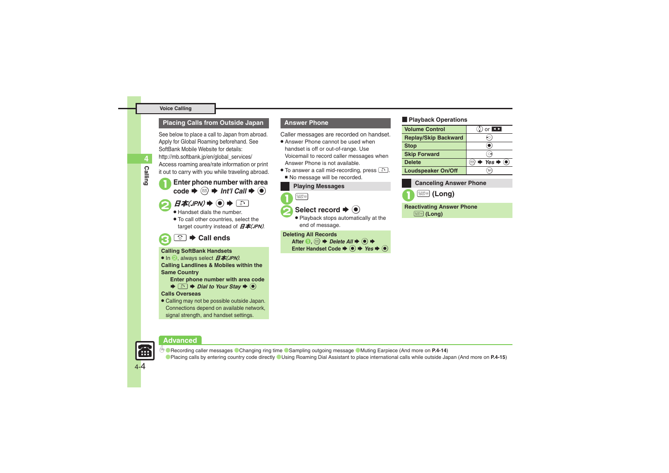#### **Voice Calling**

#### **Placing Calls from Outside Japan**

See below to place a call to Japan from abroad. Apply for Global Roaming beforehand. See SoftBank Mobile Website for details: http://mb.softbank.jp/en/global\_services/ Access roaming area/rate information or print it out to carry with you while traveling abroad.

- **1** Enter phone number with area code  $\Rightarrow$   $\textcircled{r}$   $\Rightarrow$  *Int'l Call*  $\Rightarrow$   $\textcircled{r}$
- 

**Calling**

**4**

- $H\overline{\mathcal{A}}(JPN) \rightarrow \Theta \rightarrow \Box$ Handset dials the number.
- . To call other countries, select the target country instead of  $\vec{H}$   $\vec{\textbf{A}}$  (JPN).
- 3"S **Call ends**

#### **Calling SoftBank Handsets**

 $\bullet$  In  $\odot$ , always select  $E\#$ (JPN).

**Calling Landlines & Mobiles within the Same Country**

**Enter phone number with area code** 

 $\blacktriangleright$  <sup>5</sup>  $\blacktriangleright$   $\blacktriangleright$  *Dial to Your Stay*  $\blacktriangleright$   $\odot$ 

#### **Calls Overseas**

. Calling may not be possible outside Japan. Connections depend on available network, signal strength, and handset settings.

#### **Answer Phone**

Caller messages are recorded on handset.

- Answer Phone cannot be used when handset is off or out-of-range. Use Voicemail to record caller messages when Answer Phone is not available.
- To answer a call mid-recording, press  $\Box$ . ■ No message will be recorded.

#### **Playing Messages**

 $Q_{\text{HARY}}$ 

#### **Select record**  $\blacktriangleright$  **(** $\blacklozenge$ **)**

 Playback stops automatically at the end of message.

#### **Deleting All Records**

After  $\bigcirc$ ,  $\textcircled{a} \Rightarrow$  Delete All  $\Rightarrow$   $\bigcirc$ )  $\Rightarrow$ **Enter Handset Code**  $\blacktriangleright$  **<b>⑨**  $\blacktriangleright$  *Yes*  $\blacktriangleright$  **◉** 

#### $\blacksquare$ **Playback Operations**

| <b>Volume Control</b>       | $\mathcal{E}$ or $\blacksquare$                                                     |
|-----------------------------|-------------------------------------------------------------------------------------|
| <b>Replay/Skip Backward</b> |                                                                                     |
| <b>Stop</b>                 |                                                                                     |
| <b>Skip Forward</b>         |                                                                                     |
| <b>Delete</b>               | $\textcircled{a}$ $\blacktriangleright$ Yes $\blacktriangleright$ $\textcircled{e}$ |
| <b>Loudspeaker On/Off</b>   | Y7                                                                                  |

#### **Canceling Answer Phone**



 $\left(\frac{CLEAR}{1000000}\right)$  (Long)

**Reactivating Answer Phone**

*March* (Long)





0([Recording caller messages](#page-13-4) ([Changing ring time](#page-13-5) ([Sampling outgoing message](#page-13-6) ([Muting Earpiece](#page-13-7) (And more on **[P.4-14](#page-13-7)**) ([Placing calls by entering country code directly](#page-14-3) ([Using Roaming Dial Assistant to place international calls while outside Japan](#page-14-4) (And more on **[P.4-15](#page-14-5)**)

4-4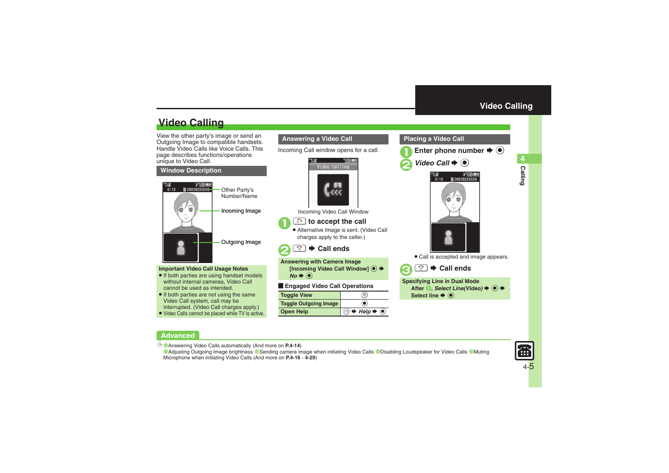Calling

4

## **Video Calling**

View the other party's image or send an Outgoing Image to compatible handsets. Handle Video Calls like Voice Calls. This page describes functions/operations unique to Video Call.

#### **Window Description**



#### **Important Video Call Usage Notes**

- If both parties are using handset models without internal cameras, Video Call cannot be used as intended.
- If both parties are not using the same Video Call system, call may be interrupted. (Video Call charges apply.)
- . Video Calls cannot be placed while TV is active.

#### **Answering a Video Call**

Incoming Call window opens for a call.



Incoming Video Call Window

### ! **to accept the call**

 $\mathbf 0$ 

 $\boldsymbol{\Theta}$ 

. Alternative Image is sent. (Video Call charges apply to the caller.)

**<u><b>
<del></del>** Call ends</u>

**Answering with Camera Image** [Incoming Video Call Window] **●**  $N$ *o* $\blacklozenge$ 

#### [ **Engaged Video Call Operations**

| <b>Toggle View</b>           | π.                                                       |
|------------------------------|----------------------------------------------------------|
| <b>Toggle Outgoing Image</b> |                                                          |
| <b>Open Help</b>             | (☉) $\blacktriangleright$ Help $\blacktriangleright$ (●) |

#### <span id="page-4-0"></span>**Placing a Video Call**





. Call is accepted and image appears.

 $\bm{\Theta}$ "S **Call ends**

**Specifying Line in Dual Mode** After **1**, *Select Line(Video)* → ● → **Select line**  $\blacklozenge$ 

#### **Advanced**

b ([Answering Video Calls automatically](#page-13-8) (And more on **[P.4-14](#page-13-8)**)

**[Adjusting Outgoing Image brightness](#page-15-1) C [Sending camera image when initiating Video Calls](#page-19-1) C [Disabling Loudspeaker for Video Calls](#page-19-2) C Muting** [Microphone when initiating Video Calls](#page-19-3) (And more on **[P.4-16](#page-15-1)** - **[4-20](#page-19-3)**)

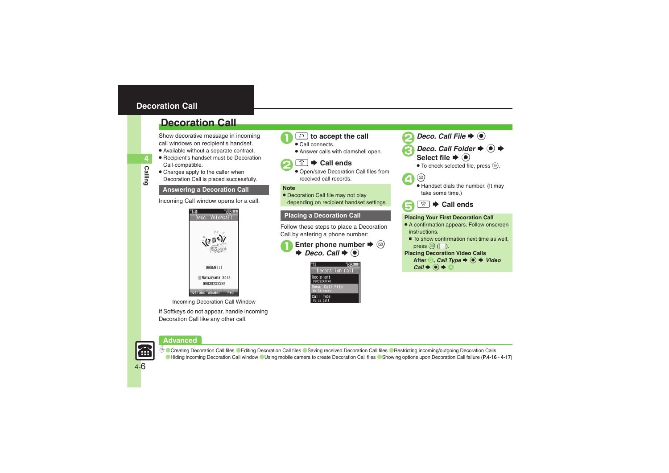### <span id="page-5-0"></span>**Decoration Call**

### **Decoration Call**

Show decorative message in incoming call windows on recipient's handset.

- . Available without a separate contract.
- . Recipient's handset must be Decoration Call-compatible.
- Charges apply to the caller when Decoration Call is placed successfully.

#### **Answering a Decoration Call Note**

Incoming Call window opens for a call.



Incoming Decoration Call Window

If Softkeys do not appear, handle incoming Decoration Call like any other call.



#### 1! **to accept the call** .

- Call connects.
- . Answer calls with clamshell open.





 Open/save Decoration Call files from received call records.

• Decoration Call file may not play depending on recipient handset settings.

#### **Placing a Decoration Call Placing Your First Decoration Call**

Follow these steps to place a Decoration Call by entering a phone number:







- *Deco. Call Folder*  $\rightarrow$  (●)  $\rightarrow$ Select file  $\blacktriangleright$  ( $\blacklozenge$ )
	- $\bullet$  To check selected file, press  $\Im$ .







- . A confirmation appears. Follow onscreen instructions.
	- To show confirmation next time as well, press  $\circledcirc$  ( $\Box$ ).

#### **Placing Decoration Video Calls**

After  $\bigcirc$ , *Call Type*  $\bigcirc$   $\bigcirc$   $\bigcirc$   $\bigcirc$  *Video*  $Call \blacktriangleright @ \blacktriangleright @$ 





**<sup>6</sup>** [Creating Decoration Call files](#page-15-2) ([Editing Decoration Call files](#page-15-3) ([Saving received Decoration Call files](#page-15-4) (Restricting incoming/outgoing Decoration Calls ([Hiding incoming Decoration Call window](#page-15-6) ([Using mobile camera to create Decoration Call files](#page-16-0) ([Showing options upon Decoration Call failure](#page-16-1) (**[P.4-16](#page-15-2)** - **[4-17](#page-16-1)**)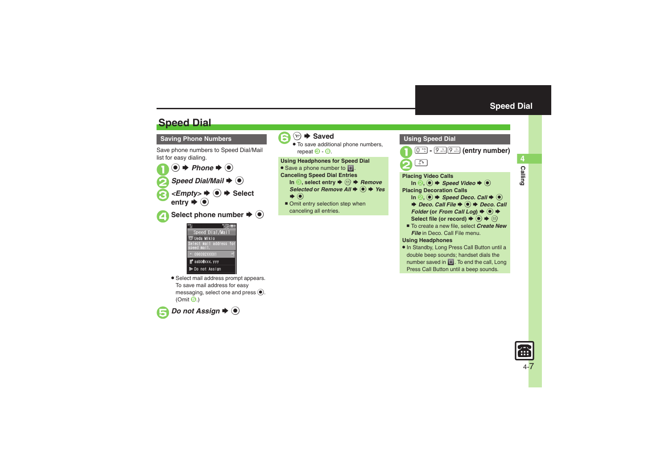4 Calling

### **Speed Dial**

#### **Saving Phone Numbers**

Save phone numbers to Speed Dial/Mail list for easy dialing.





. Select mail address prompt appears. To save mail address for easy messaging, select one and press  $\textcircled{\textsf{s}}$ . (Omit **⊖**.)





**<del>⊙</del>**  $\blacktriangleright$  **Saved** 

. To save additional phone numbers, repeat  $\Theta$  -  $\Theta$ .  $\overline{6}$  -  $\overline{6}$ .

**Using Headphones for Speed Dial** • Save a phone number to **I**.

- **Canceling Speed Dial Entries In <mark>☉</mark>, select entry**  $\blacklozenge$  **֎** *Remove* 
	- *Selected* or *Remove All*  $\blacklozenge$  **O**  $\blacktriangleright$  *Yes*  $\blacktriangleright$   $\textcircled{\scriptsize{1}}$
	- Omit entry selection step when canceling all entries.

<span id="page-6-0"></span>

. In Standby, Long Press Call Button until a double beep sounds; handset dials the number saved in  $\Box$ . To end the call, Long Press Call Button until a beep sounds.

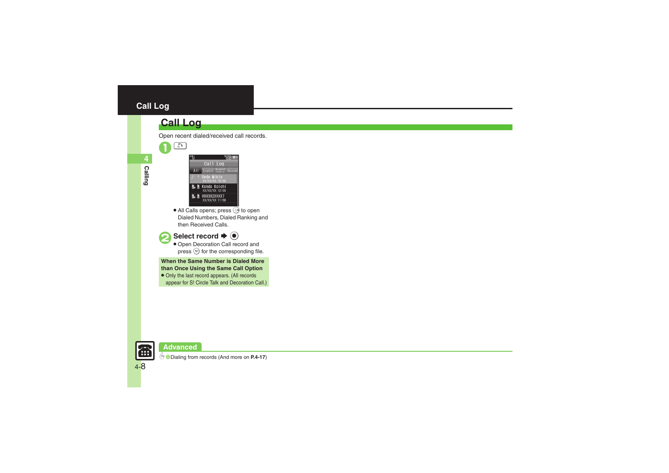### <span id="page-7-0"></span>**Call Log**

### **Call Log**

 $\mathcal{L}_3$ 

- Call Log Dialed Dialed Receive Jeda Mikio Kondo Koichi<br>XX/XX/XX 12:00 **L** <u>D</u> 090392XXXX7<br>XX/XX/XX 11:58
- $\bullet$  All Calls opens; press  $\odot$  to open Dialed Numbers, Dialed Ranking and then Received Calls.



#### Select record  $\blacktriangleright$   $\textcircled{\scriptsize{\bullet}}$

 Open Decoration Call record and press  $\circledcirc$  for the corresponding file.

**When the Same Number is Dialed More than Once Using the Same Call Option**

• Only the last record appears. (All records appear for S! Circle Talk and Decoration Call.)



#### **Advanced**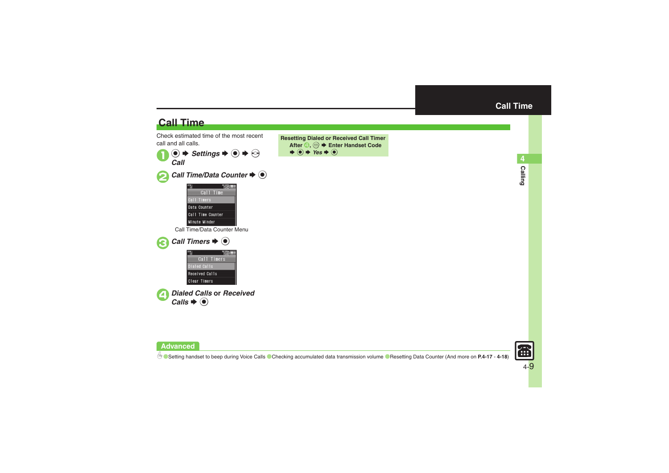<span id="page-8-0"></span>4<br>Calling

### **Call Time**

**Advanced**

Check estimated time of the most recent call and all calls.







**6 C**[Setting handset to beep during Voice Calls](#page-16-3) [Checking accumulated data transmission volume](#page-17-0) C[Resetting Data Counter](#page-17-1) (And more on [P.4-17](#page-16-3) - [4-18](#page-17-1))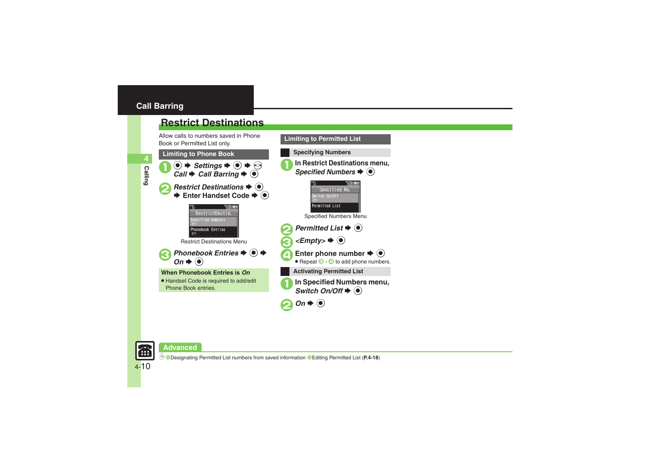### <span id="page-9-0"></span>**Call Barring**

**Calling 4**

### <span id="page-9-1"></span>**Restrict Destinations**

Allow calls to numbers saved in Phone Book or Permitted List only.



**Limiting to Permitted List**



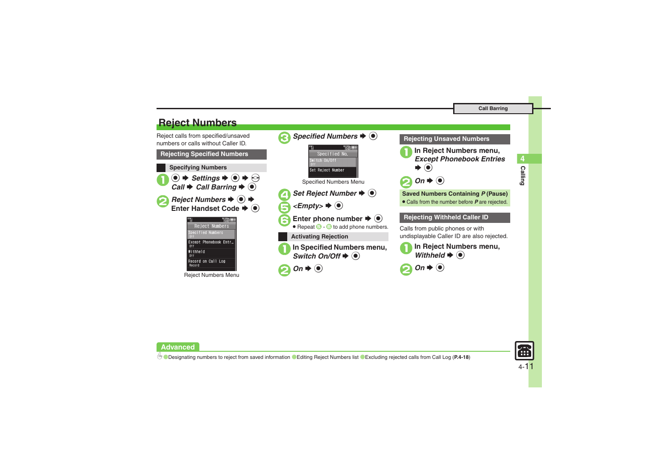### <span id="page-10-0"></span>**Reject Numbers**

Reject calls from specified/unsaved numbers or calls without Caller ID.**Rejecting Specified Numbers Specifying Numbers**  $\mathbf 0$  $\circledcirc$   $\Rightarrow$  *Settings*  $\Rightarrow$   $\circledcirc$   $\Rightarrow$   $\circledcirc$ *Call*  $\rightarrow$  *Call Barring*  $\rightarrow$  <sup>●</sup> **2** Reject Numbers **→ 0** → **Enter Handset Code**  $\blacklozenge$ **TENEL III** Reject Numbers pecified Numbers Except Phonebook Entr...  $nff$ Withheld  $n + 1$ Record on Call Log Record

Reject Numbers Menu



#### **Rejecting Unsaved Numbers**

<sup>1</sup>**In Reject Numbers menu,** *Except Phonebook Entries*



#### **Saved Numbers Containing**  *P* **(Pause)**

. Calls from the number before *P* are rejected.

#### **Rejecting Withheld Caller ID**

Calls from public phones or with undisplayable Caller ID are also rejected.







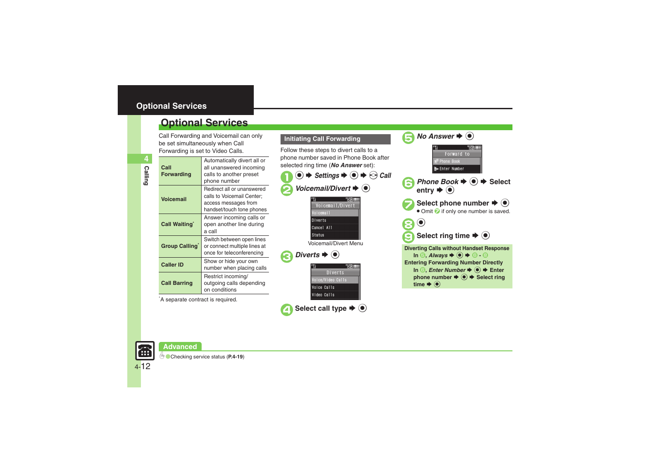### <span id="page-11-0"></span>**Optional Services**

Call Forwarding and Voicemail can only be set simultaneously when Call

| Forwarding is set to Video Calls. |                                                                                                               |  |
|-----------------------------------|---------------------------------------------------------------------------------------------------------------|--|
| Call<br><b>Forwarding</b>         | Automatically divert all or<br>all unanswered incoming<br>calls to another preset<br>phone number             |  |
| <b>Voicemail</b>                  | Redirect all or unanswered<br>calls to Voicemail Center;<br>access messages from<br>handset/touch tone phones |  |
| Call Waiting                      | Answer incoming calls or<br>open another line during<br>a call                                                |  |
| Group Calling                     | Switch between open lines<br>or connect multiple lines at<br>once for teleconferencing                        |  |
| <b>Caller ID</b>                  | Show or hide your own<br>number when placing calls                                                            |  |
| <b>Call Barring</b>               | Restrict incoming/<br>outgoing calls depending<br>on conditions                                               |  |

\*A separate contract is required.

**Advanced**





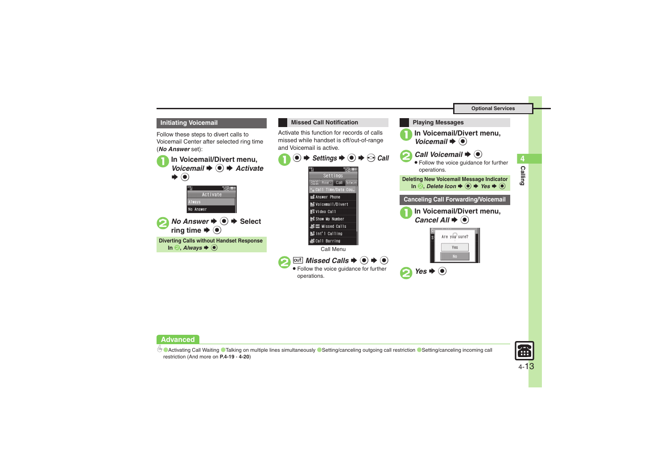

Follow these steps to divert calls to Voicemail Center after selected ring time (*No Answer* set):

**1In Voicemail/Divert menu,**<br> *Voicemail* ♦ **●** ★ *Activate*  $\left( \bullet \right)$ S**TERE** Activate No Answer **2** No Answer ♦ **(e)** ♦ Select ring time  $\blacktriangleright$   $\textcircled{\scriptsize{\bullet}}$ **Diverting Calls without Handset Response** In  $\Theta$ , *Always*  $\blacktriangleright$   $\odot$ 



#### **Advanced**

b **[Activating Call Waiting](#page-18-1) [Talking on multiple lines simultaneously](#page-18-2) C[Setting/canceling outgoing call restriction](#page-18-3) CSetting/canceling incoming call** [restriction](#page-19-4) (And more on **[P.4-19](#page-18-1)** - **[4-20](#page-19-4)**)



**Calling 4**

**Calling**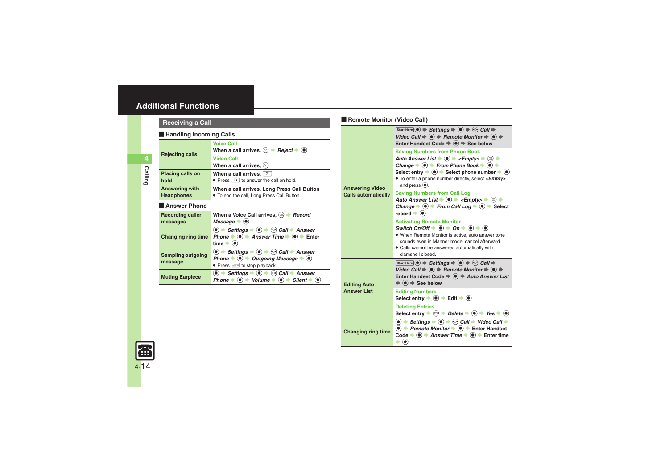<span id="page-13-4"></span><span id="page-13-3"></span><span id="page-13-2"></span><span id="page-13-1"></span><span id="page-13-0"></span>

|                                | <b>Receiving a Call</b>                                                                                                                                                                                                                                                                                                                                                                                                                                                                                                                                                           |                                                                                                                                                                                                                                                                                                                                   | Remote Monitor (Video Call)                                                                                                                                                                                                                           |                                                                                                                                                                                                                                                                                                                                                                                                                                                                                                |
|--------------------------------|-----------------------------------------------------------------------------------------------------------------------------------------------------------------------------------------------------------------------------------------------------------------------------------------------------------------------------------------------------------------------------------------------------------------------------------------------------------------------------------------------------------------------------------------------------------------------------------|-----------------------------------------------------------------------------------------------------------------------------------------------------------------------------------------------------------------------------------------------------------------------------------------------------------------------------------|-------------------------------------------------------------------------------------------------------------------------------------------------------------------------------------------------------------------------------------------------------|------------------------------------------------------------------------------------------------------------------------------------------------------------------------------------------------------------------------------------------------------------------------------------------------------------------------------------------------------------------------------------------------------------------------------------------------------------------------------------------------|
| <b>Handling Incoming Calls</b> |                                                                                                                                                                                                                                                                                                                                                                                                                                                                                                                                                                                   |                                                                                                                                                                                                                                                                                                                                   |                                                                                                                                                                                                                                                       | Start Here $\odot$ $\Rightarrow$ Settings $\Rightarrow$ $\odot$ $\Rightarrow$ $\odot$ Call $\Rightarrow$<br>Video Call $\Rightarrow$ ( $\bullet$ ) $\Rightarrow$ Remote Monitor $\Rightarrow$ ( $\bullet$ ) $\Rightarrow$                                                                                                                                                                                                                                                                      |
|                                | <b>Rejecting calls</b>                                                                                                                                                                                                                                                                                                                                                                                                                                                                                                                                                            | <b>Voice Call</b><br>When a call arrives, $\textcircled{a}$ $\blacktriangleright$ <i>Reject</i> $\blacktriangleright$ $\textcircled{e}$<br><b>Video Call</b><br>When a call arrives. $\mathcal{P}$                                                                                                                                |                                                                                                                                                                                                                                                       | Enter Handset Code $\Rightarrow$ $\circledast$ $\Rightarrow$ See below<br><b>Saving Numbers from Phone Book</b><br>Auto Answer List $\blacktriangleright$ ( $\blacklozenge$ ) $\blacktriangleright$ <empty><math>\blacktriangleright</math> <math>\textcircled{z}</math> <math>\blacktriangleright</math><br/>Change <math>\Rightarrow</math> (<math>\bullet</math>) <math>\Rightarrow</math> From Phone Book <math>\Rightarrow</math> (<math>\bullet</math>) <math>\Rightarrow</math></empty> |
| <b>Calling</b>                 | Placing calls on<br>hold                                                                                                                                                                                                                                                                                                                                                                                                                                                                                                                                                          | When a call arrives, $\circledcirc$<br>• Press and to answer the call on hold.                                                                                                                                                                                                                                                    |                                                                                                                                                                                                                                                       | Select entry $\Rightarrow$ $\circledast$ $\Rightarrow$ Select phone number $\Rightarrow$ $\circledast$<br>• To enter a phone number directly, select <empty><br/>and press <math>\left( \bullet \right)</math>.</empty>                                                                                                                                                                                                                                                                        |
|                                | Answering with<br><b>Headphones</b>                                                                                                                                                                                                                                                                                                                                                                                                                                                                                                                                               | <b>Answering Video</b><br>When a call arrives, Long Press Call Button<br>. To end the call, Long Press Call Button.                                                                                                                                                                                                               | <b>Calls automatically</b>                                                                                                                                                                                                                            | <b>Saving Numbers from Call Log</b><br>Auto Answer List $\bullet$ ( $\bullet$ ) $\bullet$ <empty> <math>\bullet</math> (<math>\circ</math>) <math>\bullet</math></empty>                                                                                                                                                                                                                                                                                                                       |
|                                | Answer Phone                                                                                                                                                                                                                                                                                                                                                                                                                                                                                                                                                                      |                                                                                                                                                                                                                                                                                                                                   |                                                                                                                                                                                                                                                       | Change $\Rightarrow$ $\circledcirc$ $\Rightarrow$ From Call Log $\Rightarrow$ $\circledcirc$ $\Rightarrow$ Select                                                                                                                                                                                                                                                                                                                                                                              |
|                                | <b>Recording caller</b><br>messages                                                                                                                                                                                                                                                                                                                                                                                                                                                                                                                                               | When a Voice Call arrives, $\textcircled{a}$ + Record<br>Message $\bullet$ ( $\bullet$ )                                                                                                                                                                                                                                          |                                                                                                                                                                                                                                                       | record $\blacktriangleright$ ( $\blacklozenge$ )<br><b>Activating Remote Monitor</b>                                                                                                                                                                                                                                                                                                                                                                                                           |
|                                | <b>Changing ring time</b>                                                                                                                                                                                                                                                                                                                                                                                                                                                                                                                                                         | $\textcircled{\textbullet}$ $\Rightarrow$ Settings $\Rightarrow$ $\textcircled{\textbullet}$ $\Rightarrow$ $\textcircled{\textcirc}$ Call $\Rightarrow$ Answer<br>Phone $\Rightarrow$ $\circledcirc$ $\Rightarrow$ Answer Time $\Rightarrow$ $\circledcirc$ $\Rightarrow$ Enter<br>time $\blacktriangleright$ ( $\blacklozenge$ ) |                                                                                                                                                                                                                                                       | Switch On/Off $\Rightarrow$ ( $\bullet$ ) $\Rightarrow$ On $\Rightarrow$ ( $\bullet$ ) $\Rightarrow$ ( $\bullet$ )<br>• When Remote Monitor is active, auto answer tone<br>sounds even in Manner mode: cancel afterward.<br>• Calls cannot be answered automatically with                                                                                                                                                                                                                      |
|                                | $\langle \bullet \rangle$ $\Rightarrow$ Settings $\Rightarrow$ $\langle \bullet \rangle$ $\Rightarrow$ Call $\Rightarrow$ Answer<br><b>Sampling outgoing</b><br>Phone $\Rightarrow$ $\circledcirc$ $\Rightarrow$ Outgoing Message $\Rightarrow$ $\circledcirc$<br>message<br>• Press <b>WEED</b> to stop playback.<br>$\bullet$ $\bullet$ Settings $\bullet$ $\bullet$ $\bullet$ $\bullet$ Call $\bullet$ Answer<br><b>Muting Earpiece</b><br>Phone $\Rightarrow$ ( $\bullet$ ) $\Rightarrow$ Volume $\Rightarrow$ ( $\bullet$ ) $\Rightarrow$ Silent $\Rightarrow$ ( $\bullet$ ) | clamshell closed.<br>Start Here $\odot$ $\Rightarrow$ Settings $\Rightarrow$ $\odot$ $\Rightarrow$ $\odot$ Call $\Rightarrow$                                                                                                                                                                                                     |                                                                                                                                                                                                                                                       |                                                                                                                                                                                                                                                                                                                                                                                                                                                                                                |
|                                |                                                                                                                                                                                                                                                                                                                                                                                                                                                                                                                                                                                   | <b>Editing Auto</b>                                                                                                                                                                                                                                                                                                               | Video Call $\Rightarrow$ ( $\bullet$ ) $\Rightarrow$ Remote Monitor $\Rightarrow$ ( $\bullet$ ) $\Rightarrow$<br>Enter Handset Code $\Rightarrow$ $\circledast$ $\Rightarrow$ Auto Answer List<br>$\Rightarrow$ ( $\bullet$ ) $\Rightarrow$ See below |                                                                                                                                                                                                                                                                                                                                                                                                                                                                                                |
|                                |                                                                                                                                                                                                                                                                                                                                                                                                                                                                                                                                                                                   |                                                                                                                                                                                                                                                                                                                                   | <b>Answer List</b>                                                                                                                                                                                                                                    | <b>Editing Numbers</b><br>Select entry $\Rightarrow$ ( $\bullet$ ) $\Rightarrow$ Edit $\Rightarrow$ ( $\bullet$ )                                                                                                                                                                                                                                                                                                                                                                              |

<span id="page-13-8"></span>**Deleting Entries**

 $\blacktriangleright$   $\textcircled{\scriptsize{}}$ 

**Changing ring time**

Select entry  $\Rightarrow$   $\textcircled{S}$   $\Rightarrow$  *Delete*  $\Rightarrow$   $\textcircled{s}$   $\Rightarrow$  Yes  $\Rightarrow$   $\textcircled{s}$ 

 $\textcircled{\textcircled{\textcirc}}$   $\Rightarrow$  Settings  $\Rightarrow$   $\textcircled{\textcircled{\textcirc}}$   $\Rightarrow$  Call  $\Rightarrow$  Video Call  $\Rightarrow$ **■ Remote Monitor → ● Finter Handset** Code  $\rightarrow$  **●**  $\rightarrow$  **Answer Time**  $\rightarrow$  ● **Finder time** 

<span id="page-13-7"></span><span id="page-13-6"></span><span id="page-13-5"></span>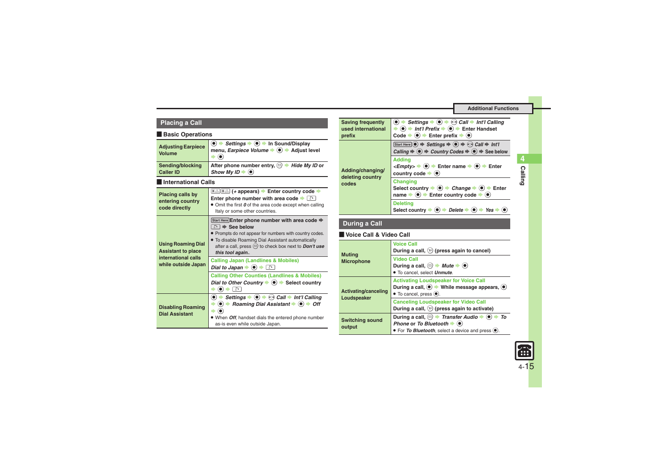### **Placing a Call**

#### [ **Basic Operations**

<span id="page-14-4"></span><span id="page-14-3"></span><span id="page-14-1"></span><span id="page-14-0"></span>

| <b>Adjusting Earpiece</b><br><b>Volume</b>                                                           | $\textcircled{\textbullet}$ $\Rightarrow$ Settings $\Rightarrow$ $\textcircled{\textbullet}$ $\Rightarrow$ In Sound/Display<br>menu, Earpiece Volume → ( Adjust level                                                                                                                                                                 |  |  |
|------------------------------------------------------------------------------------------------------|---------------------------------------------------------------------------------------------------------------------------------------------------------------------------------------------------------------------------------------------------------------------------------------------------------------------------------------|--|--|
| Sending/blocking<br><b>Caller ID</b>                                                                 | After phone number entry, $\textcircled{r}$ $\rightarrow$ Hide My ID or<br>Show My ID $\blacktriangleright$ ( $\bullet$ )                                                                                                                                                                                                             |  |  |
| <b>International Calls</b>                                                                           |                                                                                                                                                                                                                                                                                                                                       |  |  |
| Placing calls by<br>entering country<br>code directly                                                | <b>Enter phone number with area code</b> $\bullet$<br>• Omit the first $\boldsymbol{\theta}$ of the area code except when calling<br>Italy or some other countries.                                                                                                                                                                   |  |  |
| <b>Using Roaming Dial</b><br><b>Assistant to place</b><br>international calls<br>while outside Japan | Start Here Enter phone number with area code $\Rightarrow$<br>े <del>।</del> See below<br>• Prompts do not appear for numbers with country codes.<br>. To disable Roaming Dial Assistant automatically<br>after a call, press $\textcircled{a}$ to check box next to <b>Don't use</b><br>this tool again                              |  |  |
|                                                                                                      | <b>Calling Japan (Landlines &amp; Mobiles)</b><br>Dial to Japan $\blacktriangleright$ ( $\blacklozenge$ ) $\blacktriangleright$ $\Box$                                                                                                                                                                                                |  |  |
|                                                                                                      | <b>Calling Other Counties (Landlines &amp; Mobiles)</b><br>Dial to Other Country $\blacktriangleright$ ( $\blacklozenge$ ) $\blacktriangleright$ Select country<br>ີດ                                                                                                                                                                 |  |  |
| <b>Disabling Roaming</b><br><b>Dial Assistant</b>                                                    | Settings $\bullet$ ( $\bullet$ ) $\bullet$ ( $\circ$ ) Call $\bullet$ Int'l Calling<br>$\bullet$ $\bullet$<br>$\langle \bullet \rangle$ $\Rightarrow$ Roaming Dial Assistant $\Rightarrow$ $\langle \bullet \rangle$ $\Rightarrow$ Off<br>When <i>Off</i> , handset dials the entered phone number<br>as-is even while outside Japan. |  |  |

<span id="page-14-5"></span>

| <b>Saving frequently</b><br>used international<br>prefix | Settings $\bullet$ $\bullet$ $\bullet$ $\bullet$ Call $\bullet$ Int'l Calling<br>$\bullet$ $\bullet$ $\bullet$ Int'l Prefix $\bullet$ $\bullet$ $\bullet$ Enter Handset<br>Code $\Rightarrow$ ( $\bullet$ ) $\Rightarrow$ Enter prefix $\Rightarrow$ ( $\bullet$ )                     |
|----------------------------------------------------------|----------------------------------------------------------------------------------------------------------------------------------------------------------------------------------------------------------------------------------------------------------------------------------------|
| Adding/changing/<br>deleting country<br>codes            | Start Here $\odot$ $\Rightarrow$ Settings $\Rightarrow$ $\odot$ $\Rightarrow$ $\odot$ Call $\Rightarrow$ Int'l<br>Calling $\Rightarrow$ $\circledcirc$ $\Rightarrow$ Country Codes $\Rightarrow$ $\circledcirc$ $\Rightarrow$ See below                                                |
|                                                          | <b>Addina</b><br>$\langle \mathsf{Empty} \rangle \rightarrow \langle \bullet \rangle \rightarrow$ Enter name $\Rightarrow (\bullet) \rightarrow$ Enter<br>country code $\blacktriangleright$ ( $\blacklozenge$ )                                                                       |
|                                                          | <b>Changing</b><br>Select country $\blacktriangleright$ ( $\blacklozenge$ ) $\blacktriangleright$ <i>Change</i> $\blacktriangleright$ ( $\blacklozenge$ ) $\blacktriangleright$ Enter<br>name $\Rightarrow$ ( $\bullet$ ) $\Rightarrow$ Enter country code $\Rightarrow$ ( $\bullet$ ) |
|                                                          | <b>Deleting</b><br>Select country $\blacktriangleright$ ( $\blacklozenge$ ) $\blacktriangleright$ Delete $\blacktriangleright$ ( $\blacklozenge$ )<br>$\rightarrow$ Yes                                                                                                                |

### **During a Call**

#### [ **Voice Call & Video Call**

<span id="page-14-6"></span><span id="page-14-2"></span>

| <b>Muting</b><br><b>Microphone</b> | <b>Voice Call</b><br>During a call, $\mathcal{P}$ (press again to cancel)                                                                                                                                         |
|------------------------------------|-------------------------------------------------------------------------------------------------------------------------------------------------------------------------------------------------------------------|
|                                    | <b>Video Call</b><br>During a call, $\textcircled{a}$ $\blacktriangleright$ <i>Mute</i> $\blacktriangleright$ ( $\bullet$ )<br>• To cancel, select Unmute.                                                        |
| Activating/canceling               | <b>Activating Loudspeaker for Voice Call</b><br>During a call, $\odot$ $\rightarrow$ While message appears, $\odot$<br>$\bullet$ To cancel, press $\bullet$ .                                                     |
| Loudspeaker                        | <b>Canceling Loudspeaker for Video Call</b><br>During a call, $\langle \mathbf{v} \rangle$ (press again to activate)                                                                                              |
| <b>Switching sound</b><br>output   | During a call, $\textcircled{a}$ $\blacktriangleright$ Transfer Audio $\blacktriangleright$ ( $\textcircled{a}$ )<br>To<br>Phone or To Bluetooth $\blacklozenge$<br>• For To Bluetooth, select a device and press |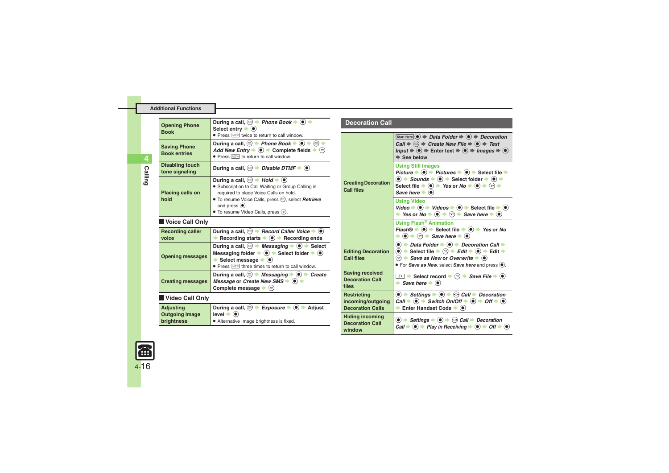<span id="page-15-2"></span>

| <b>Opening Phone</b>                       | During a call, $\textcircled{a}$ $\rightarrow$ Phone Book $\rightarrow$ $\textcircled{a}$ $\rightarrow$<br>Select entry $\blacktriangleright$ ( $\blacklozenge$ )                                                                                                                                                                                                                                | <b>Decoration Call</b>                                     |                                                                                                                                                                                                                                                                                                                                                                              |
|--------------------------------------------|--------------------------------------------------------------------------------------------------------------------------------------------------------------------------------------------------------------------------------------------------------------------------------------------------------------------------------------------------------------------------------------------------|------------------------------------------------------------|------------------------------------------------------------------------------------------------------------------------------------------------------------------------------------------------------------------------------------------------------------------------------------------------------------------------------------------------------------------------------|
| <b>Book</b>                                | • Press<br><sup>•</sup> Press<br><sup>•</sup> These <i>ince</i> to return to call window.                                                                                                                                                                                                                                                                                                        |                                                            | Start Here $\left(\bullet\right)$ $\Rightarrow$ Data Folder $\Rightarrow$ $\left(\bullet\right)$ $\Rightarrow$ Decoration                                                                                                                                                                                                                                                    |
| <b>Saving Phone</b><br><b>Book entries</b> | During a call, $\textcircled{e}$ $\Rightarrow$ Phone Book $\Rightarrow$ $\textcircled{e}$ $\Rightarrow$ $\textcircled{e}$ $\Rightarrow$<br>Add New Entry $\blacktriangleright$ ( $\blacklozenge$ ) $\blacktriangleright$ Complete fields $\blacktriangleright$ $\triangleright$<br>● Press <sup>[188</sup> ] to return to call window.                                                           | <b>Creating Decoration</b><br><b>Call files</b>            | Call $\Rightarrow$ $\textcircled{}} \Rightarrow$ Create New File $\Rightarrow$ $\textcircled{}} \Rightarrow$ Text<br>Input $\Rightarrow$ ( $\bullet$ ) $\Rightarrow$ Enter text $\Rightarrow$ ( $\bullet$ ) $\Rightarrow$ Images $\Rightarrow$ ( $\bullet$ )<br>$\Rightarrow$ See below                                                                                      |
| <b>Disabling touch</b><br>tone signaling   | During a call, $\textcircled{a}$ $\blacktriangleright$ Disable DTMF $\blacktriangleright$ $\textcircled{e}$                                                                                                                                                                                                                                                                                      |                                                            | <b>Using Still Images</b><br>Picture $\Rightarrow$ ( $\bullet$ ) $\Rightarrow$ Pictures $\Rightarrow$ ( $\bullet$ ) $\Rightarrow$ Select file $\Rightarrow$                                                                                                                                                                                                                  |
| Placing calls on                           | During a call, $\textcircled{\scriptsize{\textsf{m}}}$ $\blacktriangleright$ Hold $\blacktriangleright$ $\textcircled{\scriptsize{\textsf{m}}}$<br>• Subscription to Call Waiting or Group Calling is<br>required to place Voice Calls on hold.                                                                                                                                                  |                                                            | $\textcircled{\textbullet}$ $\Rightarrow$ Sounds $\Rightarrow$ $\textcircled{\textbullet}$ $\Rightarrow$ Select folder $\Rightarrow$ $\textcircled{\textbullet}$ $\Rightarrow$<br>Select file $\Rightarrow$ ( $\bullet$ ) $\Rightarrow$ Yes or No $\Rightarrow$ ( $\bullet$ ) $\Rightarrow$ ( $\circ$ ) $\Rightarrow$<br>Save here $\blacktriangleright$ ( $\blacklozenge$ ) |
| hold                                       | ● To resume Voice Calls, press . select Retrieve<br>and press $(•)$ .<br>• To resume Video Calls, press $\mathcal{P}$ ).                                                                                                                                                                                                                                                                         |                                                            | <b>Using Video</b><br>Video $\Rightarrow$ ( $\bullet$ ) $\Rightarrow$ Videos $\Rightarrow$ ( $\bullet$ ) $\Rightarrow$ Select file $\Rightarrow$ ( $\bullet$ )<br>→ Yes or No $\Rightarrow$ ( $\bullet$ ) $\Rightarrow$ $\circledcirc$ $\Rightarrow$ Save here $\Rightarrow$ ( $\bullet$ )                                                                                   |
| Voice Call Only                            |                                                                                                                                                                                                                                                                                                                                                                                                  |                                                            | <b>Using Flash<sup>®</sup> Animation</b>                                                                                                                                                                                                                                                                                                                                     |
| <b>Recording caller</b><br>voice           | During a call, $\textcircled{=}$ Record Caller Voice $\blacktriangleright$ $\textcircled{=}$<br>Recording starts $\Rightarrow$ (0) $\Rightarrow$ Recording ends                                                                                                                                                                                                                                  |                                                            | <i>Flash®</i> $\rightarrow$ ( $\bullet$ ) $\rightarrow$ Select file $\rightarrow$ ( $\bullet$ ) $\rightarrow$ Yes or No<br>$\rightarrow$ $\odot$ $\rightarrow$ $\odot$ $\rightarrow$ Save here $\rightarrow$ $\odot$                                                                                                                                                         |
| <b>Opening messages</b>                    | During a call, $\textcircled{}$ $\blacktriangleright$ <i>Messaging</i> $\blacktriangleright$ ( $\bullet$ ) $\blacktriangleright$ Select<br>Messaging folder $\Rightarrow$ ( $\bullet$ ) $\Rightarrow$ Select folder $\Rightarrow$ ( $\bullet$ )<br>Select message $\Rightarrow$ ( $\bullet$ )<br>• Press $\boxed{\phantom{a}}$ Press $\boxed{\phantom{a}}$ three times to return to call window. | <b>Editing Decoration</b><br><b>Call files</b>             | $\bullet$ $\bullet$ Data Folder $\bullet$ $\bullet$ Decoration Call $\bullet$<br>(●) $\Rightarrow$ Select file $\Rightarrow$ $\textcircled{e}$ $\Rightarrow$ Edit $\Rightarrow$ $\textcircled{e}$ $\Rightarrow$ Edit $\Rightarrow$<br>$\mathcal{P}$ $\rightarrow$ Save as New or Overwrite $\rightarrow$ $\odot$<br>• For Save as New, select Save here and press            |
| <b>Creating messages</b>                   | During a call, $\textcircled{a}$ $\blacktriangleright$ Messaging $\blacktriangleright$ ( $\bullet$ ) $\blacktriangleright$ Create<br>Message or Create New SMS $\blacktriangleright$ ( $\blacklozenge$ ) $\blacktriangleright$<br>Complete message $\blacktriangleright$ $\langle \mathbf{v} \rangle$                                                                                            | <b>Saving received</b><br><b>Decoration Call</b><br>files  | <b>a</b> $\Rightarrow$ Select record $\Rightarrow$ <b><math>\textcircled{a}</math></b> $\Rightarrow$ <i>Save File</i> $\Rightarrow$ <b>(<math>\bullet</math></b> )<br>$\rightarrow$ Save here $\rightarrow$ ( $\bullet$ )                                                                                                                                                    |
| Video Call Only                            |                                                                                                                                                                                                                                                                                                                                                                                                  | <b>Restricting</b><br>incoming/outgoing                    | $\textcircled{\textbullet}$ $\Rightarrow$ Settings $\Rightarrow$ $\textcircled{\textbullet}$ $\Rightarrow$ Call $\Rightarrow$ Decoration<br>Call $\Rightarrow$ (a) $\Rightarrow$ Switch On/Off $\Rightarrow$ (a) $\Rightarrow$ Off $\Rightarrow$ (a)                                                                                                                         |
| <b>Adjusting</b>                           | During a call, $\textcircled{a}$ $\blacktriangleright$ <i>Exposure</i> $\blacktriangleright$ ( $\textcircled{a}$ ) $\blacktriangleright$ Adjust                                                                                                                                                                                                                                                  | <b>Decoration Calls</b>                                    | Enter Handset Code $\blacktriangleright$ ( $\blacklozenge$ )                                                                                                                                                                                                                                                                                                                 |
| <b>Outgoing Image</b><br>brightness        | $level \rightarrow \circledbullet$<br>• Alternative Image brightness is fixed.                                                                                                                                                                                                                                                                                                                   | <b>Hiding incoming</b><br><b>Decoration Call</b><br>window | $\bullet$ $\bullet$ Settings $\bullet$ $\bullet$ $\bullet$ $\bullet$ Call $\bullet$ Decoration<br>Call $\Rightarrow$ ( $\bullet$ ) $\Rightarrow$ Play in Receiving $\Rightarrow$ ( $\bullet$ ) $\Rightarrow$ Off $\Rightarrow$ ( $\bullet$ )                                                                                                                                 |

<span id="page-15-6"></span><span id="page-15-5"></span><span id="page-15-4"></span><span id="page-15-3"></span><span id="page-15-1"></span>

<span id="page-15-0"></span>**Calling**

**4**

區 4-16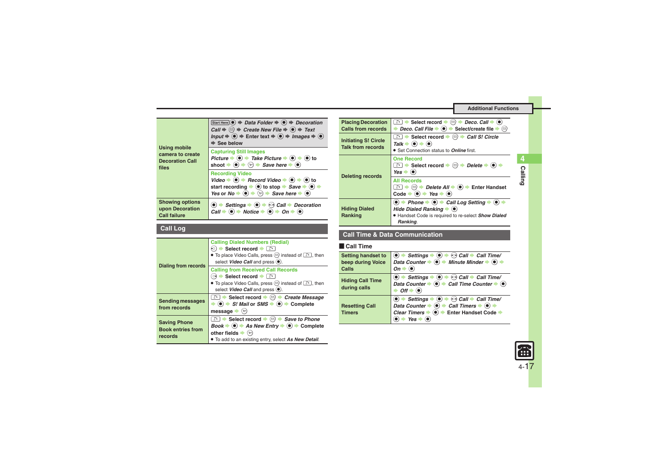<span id="page-16-0"></span>

| <b>Using mobile</b><br>camera to create<br><b>Decoration Call</b><br>files | Start Here $\left( \bullet \right)$ $\Rightarrow$ Data Folder $\Rightarrow$ $\left( \bullet \right)$ $\Rightarrow$ Decoration<br>Call $\Rightarrow$ $\textcircled{}} \Rightarrow$ Create New File $\Rightarrow$ $\textcircled{}} \Rightarrow$ Text<br>Input $\Rightarrow$ ( $\bullet$ ) $\Rightarrow$ Enter text $\Rightarrow$ ( $\bullet$ ) $\Rightarrow$ Images $\Rightarrow$ ( $\bullet$ )<br>$\Rightarrow$ See below |  |
|----------------------------------------------------------------------------|--------------------------------------------------------------------------------------------------------------------------------------------------------------------------------------------------------------------------------------------------------------------------------------------------------------------------------------------------------------------------------------------------------------------------|--|
|                                                                            | <b>Capturing Still Images</b><br>Picture $\Rightarrow$ ( $\bullet$ ) $\Rightarrow$ Take Picture $\Rightarrow$ ( $\bullet$ ) $\Rightarrow$ ( $\bullet$ ) to<br>shoot $\Rightarrow$ ( $\bullet$ ) $\Rightarrow$ $\Diamond$ ) $\Rightarrow$ Save here $\Rightarrow$ ( $\bullet$ )                                                                                                                                           |  |
|                                                                            | <b>Recording Video</b><br>Video $\Rightarrow$ ( $\bullet$ ) $\Rightarrow$ Record Video $\Rightarrow$ ( $\bullet$ ) $\Rightarrow$ ( $\bullet$ ) to<br>start recording $\blacktriangleright$ ( $\blacklozenge$ ) to stop $\blacktriangleright$ Save $\blacktriangleright$ ( $\blacklozenge$ ) $\blacktriangleright$<br>Yes or $N\sigma \Rightarrow \omega \Rightarrow \omega \Rightarrow$ Save here $\Rightarrow \omega$   |  |
| <b>Showing options</b><br>upon Decoration<br><b>Call failure</b>           | $\bullet$ $\bullet$ Settings $\bullet$ $\bullet$ $\bullet$ $\bullet$ Call $\bullet$ Decoration<br>Call $\Rightarrow$ ( $\bullet$ ) $\Rightarrow$ Notice $\Rightarrow$ ( $\bullet$ ) $\Rightarrow$ On $\Rightarrow$ ( $\bullet$ )                                                                                                                                                                                         |  |

### <span id="page-16-1"></span>**Call Log**

<span id="page-16-2"></span>

| <b>Dialing from records</b>                                | <b>Calling Dialed Numbers (Redial)</b><br>$\odot$ ) $\blacktriangleright$ Select record $\blacktriangleright$ $\lceil \cdot \cdot \rceil$<br>• To place Video Calls, press $\circledcirc$ instead of $\circledcirc$ , then<br>select Video Call and press (.).                                                                |
|------------------------------------------------------------|-------------------------------------------------------------------------------------------------------------------------------------------------------------------------------------------------------------------------------------------------------------------------------------------------------------------------------|
|                                                            | <b>Calling from Received Call Records</b><br>Select record $\bullet$<br>• To place Video Calls, press $\circledcirc$ instead of $\circledcirc$ , then<br>select Video Call and press (.).                                                                                                                                     |
| <b>Sending messages</b><br>from records                    | $\Box$ Select record $\blacktriangleright$ $\Box$ Create Message<br>$\Rightarrow$ ( $\bullet$ ) $\Rightarrow$ S! Mail or SMS $\Rightarrow$ ( $\bullet$ ) $\Rightarrow$ Complete<br>message $\blacktriangleright$ $\langle y \rangle$                                                                                          |
| <b>Saving Phone</b><br><b>Book entries from</b><br>records | a Select record $\bullet$ ( $\textcircled{a}$ ) $\bullet$ Save to Phone<br>$Book \rightarrow \textcircled{\bullet} \rightarrow As \text{ New Entry} \rightarrow \textcircled{\bullet} \rightarrow$ Complete<br>other fields $\blacktriangleright$ $\langle x \rangle$<br>. To add to an existing entry, select As New Detail. |

| <b>Placing Decoration</b><br>Calls from records         | <b>A</b> $\rightarrow$ Select record $\rightarrow$ ( $\odot$ ) $\rightarrow$ <i>Deco. Call</i> $\rightarrow$ ( $\bullet$ )<br>Deco. Call File $\blacktriangleright$ ( $\blacklozenge$ ) $\blacktriangleright$ Select/create file $\blacktriangleright$ $\textcircled{?}$ |
|---------------------------------------------------------|--------------------------------------------------------------------------------------------------------------------------------------------------------------------------------------------------------------------------------------------------------------------------|
| <b>Initiating S! Circle</b><br><b>Talk from records</b> | <u>and</u> $\bullet$ Select record $\bullet$ ( <b>2</b> ) $\bullet$ <i>Call S! Circle</i><br>$Talk \rightarrow \textcircled{\bullet} \rightarrow \textcircled{\bullet}$<br>• Set Connection status to <b>Online</b> first.                                               |
| <b>Deleting records</b>                                 | <b>One Record</b><br>a $\rightarrow$ Select record $\rightarrow$ ( $\textcircled{a}$ ) $\rightarrow$ Delete $\rightarrow$ ( $\bullet$ ) $\rightarrow$<br>$Yes \rightarrow \odot$                                                                                         |
|                                                         | <b>All Records</b><br>( $\textcircled{a}$ ) $\blacktriangleright$ <i>Delete All</i> $\blacktriangleright$ ( $\blacklozenge$ ) $\blacktriangleright$ Enter Handset<br>Code $\rightarrow$ ( $\bullet$ ) $\rightarrow$ Yes $\rightarrow$ ( $\bullet$ )                      |
| <b>Hiding Dialed</b><br>Ranking                         | $\bullet$ $\bullet$ Phone $\bullet$ $\bullet$ $\bullet$ Call Log Setting $\bullet$<br>Hide Dialed Ranking $\bullet$ ( $\bullet$ )<br>• Handset Code is required to re-select <b>Show Dialed</b><br>Ranking.                                                              |

#### **Call Time & Data Communication**

#### [ **Call Time**

<span id="page-16-3"></span>

| <b>Setting handset to</b><br>beep during Voice<br>Calls | $\langle \bullet \rangle$ $\Rightarrow$ Settings $\Rightarrow$ $\langle \bullet \rangle$ $\Rightarrow$ $\langle \circ \rangle$ Call $\Rightarrow$ Call Time/<br>Data Counter $\Rightarrow$ ( $\bullet$ ) $\Rightarrow$ Minute Minder $\Rightarrow$ ( $\bullet$ )<br>On <sup>1</sup>         |
|---------------------------------------------------------|---------------------------------------------------------------------------------------------------------------------------------------------------------------------------------------------------------------------------------------------------------------------------------------------|
| <b>Hiding Call Time</b><br>during calls                 | $\bullet$ $\bullet$ $\bullet$ Call $\bullet$ Call Time/<br>$\bullet$ $\bullet$ Settings $\bullet$<br>Data Counter $\Rightarrow$ $\circledast$ $\Rightarrow$ Call Time Counter $\Rightarrow$ $\circledast$<br>$Off \bullet$                                                                  |
| <b>Resetting Call</b><br><b>Timers</b>                  | $\bullet$ $\bullet$ Call $\bullet$ Call Time/<br>$\bullet$ $\bullet$ Settings $\bullet$<br>Data Counter $\Rightarrow$ $\circledast$ $\Rightarrow$ Call Timers $\Rightarrow$ $\circledast$ $\Rightarrow$<br>Clear Timers $\bullet$ $\bullet$ $\bullet$ Enter Handset Code $\bullet$<br>Yes I |

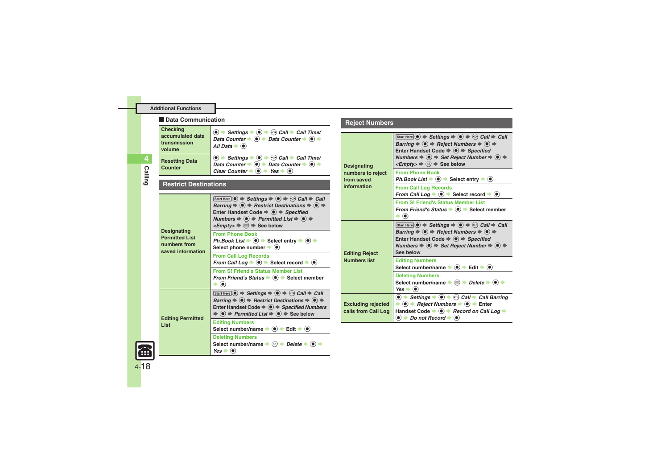#### [ **Data Communication**

<span id="page-17-0"></span>

| <b>Checking</b><br>accumulated data<br>transmission<br>volume | $\textcircled{\textcircled{\textcirc}}$ $\Rightarrow$ Settings $\Rightarrow$ $\textcircled{\textcircled{\textcirc}}$ Call $\Rightarrow$ Call Time/<br>Data Counter $\rightarrow$ 0 $\rightarrow$ Data Counter $\rightarrow$ 0 $\rightarrow$<br>All Data $\bullet$ $\bullet$                                                          |
|---------------------------------------------------------------|--------------------------------------------------------------------------------------------------------------------------------------------------------------------------------------------------------------------------------------------------------------------------------------------------------------------------------------|
| <b>Resetting Data</b><br>Counter                              | $\textcircled{\textcircled{\textcirc}}$ $\Rightarrow$ Settings $\Rightarrow$ $\textcircled{\textcircled{\textcirc}}$ $\Rightarrow$ Call $\Rightarrow$ Call Time/<br>Data Counter $\bullet \bullet$ $\bullet$ Data Counter $\bullet \bullet$ $\bullet$<br>Clear Counter $\bullet$ ( $\bullet$ ) $\bullet$ Yes $\bullet$ ( $\bullet$ ) |

**Calling**

<span id="page-17-1"></span>**4**

#### **Restrict Destinations**

<span id="page-17-2"></span>

| Designating<br><b>Permitted List</b><br>numbers from<br>saved information | Start Here $\odot$ $\Rightarrow$ Settings $\Rightarrow$ $\odot$ $\Rightarrow$ $\odot$ Call $\Rightarrow$ Call<br>Barring $\Rightarrow$ ( $\bullet$ ) $\Rightarrow$ Restrict Destinations $\Rightarrow$ ( $\bullet$ ) $\Rightarrow$<br>Enter Handset Code $\Rightarrow$ $\circledast$ $\Rightarrow$ Specified<br>Numbers $\Rightarrow$ ( $\bullet$ ) $\Rightarrow$ Permitted List $\Rightarrow$ ( $\bullet$ ) $\Rightarrow$<br>$\leq$ <i>Empty&gt;</i> $\Rightarrow$ $\textcircled{=}$ $\Rightarrow$ See below |
|---------------------------------------------------------------------------|---------------------------------------------------------------------------------------------------------------------------------------------------------------------------------------------------------------------------------------------------------------------------------------------------------------------------------------------------------------------------------------------------------------------------------------------------------------------------------------------------------------|
|                                                                           | <b>From Phone Book</b><br>Ph.Book List $\Rightarrow$ ( $\bullet$ ) $\Rightarrow$ Select entry $\Rightarrow$ ( $\bullet$ ) $\Rightarrow$<br>Select phone number $\blacktriangleright$ ( $\blacklozenge$ )                                                                                                                                                                                                                                                                                                      |
|                                                                           | <b>From Call Log Records</b><br>From Call Log $\Rightarrow$ ( $\bullet$ ) $\Rightarrow$ Select record $\Rightarrow$ ( $\bullet$ )                                                                                                                                                                                                                                                                                                                                                                             |
|                                                                           | <b>From S! Friend's Status Member List</b><br>From Friend's Status $\bullet$ ( $\bullet$ ) $\bullet$ Select member<br>$\blacktriangleright$ (e)                                                                                                                                                                                                                                                                                                                                                               |
| <b>Editing Permitted</b><br>List                                          | Start Here $\odot$ $\Rightarrow$ Settings $\Rightarrow$ $\odot$ $\Rightarrow$ $\odot$ Call $\Rightarrow$ Call<br>Barring $\Rightarrow$ ( $\bullet$ ) $\Rightarrow$ Restrict Destinations $\Rightarrow$ ( $\bullet$ ) $\Rightarrow$<br>Enter Handset Code $\Rightarrow$ $\circledast$ $\Rightarrow$ Specified Numbers<br>$\Rightarrow$ (•) $\Rightarrow$ Permitted List $\Rightarrow$ (•) $\Rightarrow$ See below                                                                                              |
|                                                                           | <b>Editing Numbers</b><br>Select number/name $\Rightarrow$ $\bullet$ $\Rightarrow$ Edit $\Rightarrow$ $\bullet$ )                                                                                                                                                                                                                                                                                                                                                                                             |
|                                                                           | <b>Deleting Numbers</b><br>Select number/name $\Rightarrow$ $\textcircled{=}$ $\Rightarrow$ Delete $\Rightarrow$ $\textcircled{=}$<br>$Yes \rightarrow (•)$                                                                                                                                                                                                                                                                                                                                                   |

### **Reject Numbers**

<span id="page-17-6"></span><span id="page-17-5"></span><span id="page-17-4"></span>

| <b>Designating</b><br>numbers to reject<br>from saved<br>information | $[Start Here] \n\bullet \Rightarrow \mathsf{Setting} \n\Rightarrow \n\bullet \Rightarrow \n\bullet \Rightarrow \mathsf{Call} \n\Rightarrow \mathsf{Call}$<br>Barring $\Rightarrow$ ( $\bullet$ ) $\Rightarrow$ Reject Numbers $\Rightarrow$ ( $\bullet$ ) $\Rightarrow$<br>Enter Handset Code $\Rightarrow$ $\circledast$ $\Rightarrow$ Specified<br>Numbers $\Rightarrow$ $\bullet$ $\Rightarrow$ Set Reject Number $\Rightarrow$ $\bullet$ $\Rightarrow$<br>$\leq$ <i>Empty&gt;</i> $\Rightarrow$ $\textcircled{2}$ $\Rightarrow$ See below |
|----------------------------------------------------------------------|-----------------------------------------------------------------------------------------------------------------------------------------------------------------------------------------------------------------------------------------------------------------------------------------------------------------------------------------------------------------------------------------------------------------------------------------------------------------------------------------------------------------------------------------------|
|                                                                      | <b>From Phone Book</b><br>Ph.Book List $\blacktriangleright$ ( $\blacklozenge$ ) $\blacktriangleright$ Select entry $\blacktriangleright$ ( $\blacklozenge$ )                                                                                                                                                                                                                                                                                                                                                                                 |
|                                                                      | <b>From Call Log Records</b><br>From Call Log $\Rightarrow$ $\bullet$ $\Rightarrow$ Select record $\Rightarrow$ $\bullet$                                                                                                                                                                                                                                                                                                                                                                                                                     |
|                                                                      | <b>From S! Friend's Status Member List</b><br>From Friend's Status $\bullet$ ( $\bullet$ ) $\bullet$ Select member<br>$\blacktriangleright$ (e)                                                                                                                                                                                                                                                                                                                                                                                               |
| <b>Editing Reject</b><br><b>Numbers list</b>                         | Start Here $\odot$ $\Rightarrow$ Settings $\Rightarrow$ $\odot$ $\Rightarrow$ $\odot$ Call $\Rightarrow$ Call<br>Barring $\Rightarrow$ ( $\bullet$ ) $\Rightarrow$ Reject Numbers $\Rightarrow$ ( $\bullet$ ) $\Rightarrow$<br>Enter Handset Code $\Rightarrow$ $\bullet$ $\Rightarrow$ Specified<br>Numbers $\Rightarrow$ $\circledast$ $\Rightarrow$ Set Reject Number $\Rightarrow$ $\circledast$ $\Rightarrow$<br>See below                                                                                                               |
|                                                                      | <b>Editing Numbers</b><br>Select number/name $\Rightarrow$ $\bullet$ $\Rightarrow$ Edit $\Rightarrow$ $\bullet$ )                                                                                                                                                                                                                                                                                                                                                                                                                             |
|                                                                      | <b>Deleting Numbers</b><br>Select number/name $\Rightarrow$ $\textcircled{}} \Rightarrow$ Delete $\Rightarrow$ $\textcircled{\ } \Rightarrow$<br>$Yes \rightarrow (0)$                                                                                                                                                                                                                                                                                                                                                                        |
| <b>Excluding rejected</b><br>calls from Call Log                     | $\textcircled{\textbullet}$ $\Rightarrow$ Settings $\Rightarrow$ $\textcircled{\textbullet}$ $\Rightarrow$ Call $\Rightarrow$ Call Barring<br>$\Rightarrow$ ( $\bullet$ ) $\Rightarrow$ Reject Numbers $\Rightarrow$ ( $\bullet$ ) $\Rightarrow$ Enter<br>Handset Code $\bullet$ $\bullet$ $\bullet$ Record on Call Log $\bullet$<br>$\bullet$ $\bullet$ Do not Record $\bullet$ $\bullet$                                                                                                                                                    |

<span id="page-17-3"></span>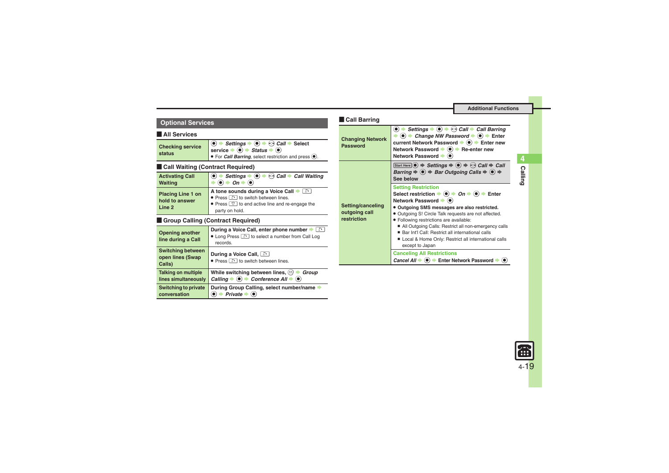**Calling 4**

### **Coptional Services**

#### [ **All Services**

<span id="page-18-0"></span>

| <b>Checking service</b> | $\langle \bullet \rangle$ Settings $\Rightarrow \langle \bullet \rangle \Rightarrow$ Call $\Rightarrow$ Select |
|-------------------------|----------------------------------------------------------------------------------------------------------------|
| status                  | service $\Rightarrow$ $\circledast$ $\Rightarrow$ Status $\Rightarrow$ $\circledast$                           |
|                         | $\bullet$ For <i>Call Barring</i> , select restriction and press $\odot$ .                                     |

#### **Exall Waiting (Contract Required)**

<span id="page-18-1"></span>

| <b>Activating Call</b>                               | Settings $\Rightarrow$ ( $\bullet$ ) $\Rightarrow$ $\odot$ Call $\Rightarrow$ Call Waiting                                                         |
|------------------------------------------------------|----------------------------------------------------------------------------------------------------------------------------------------------------|
| <b>Waiting</b>                                       | $\bullet$ $\bullet$ On $\bullet$ $\bullet$                                                                                                         |
| <b>Placing Line 1 on</b><br>hold to answer<br>Line 2 | A tone sounds during a Voice Call<br>• Press a to switch between lines.<br>• Press <a> to end active line and re-engage the<br/>party on hold.</a> |

#### **Example Calling (Contract Required)**

<span id="page-18-2"></span>

| <b>Opening another</b><br>line during a Call           | During a Voice Call, enter phone number $\blacktriangleright \lceil \widehat{\cdot} \rceil$<br>• Long Press and to select a number from Call Log<br>records. |
|--------------------------------------------------------|--------------------------------------------------------------------------------------------------------------------------------------------------------------|
| <b>Switching between</b><br>open lines (Swap<br>Calls) | During a Voice Call, and<br>• Press no switch between lines.                                                                                                 |
| <b>Talking on multiple</b><br>lines simultaneously     | While switching between lines, $\circledcirc$<br>Group<br>Calling $\Rightarrow$ ( $\bullet$ ) $\Rightarrow$ Conference All $\Rightarrow$ ( $\bullet$ )       |
| <b>Switching to private</b><br>conversation            | During Group Calling, select number/name<br>Private                                                                                                          |

<span id="page-18-3"></span>

| <b>Call Barring</b>                               |                                                                                                                                                                                                                                                                                                                                                                                                                                                                                                                           |
|---------------------------------------------------|---------------------------------------------------------------------------------------------------------------------------------------------------------------------------------------------------------------------------------------------------------------------------------------------------------------------------------------------------------------------------------------------------------------------------------------------------------------------------------------------------------------------------|
| <b>Changing Network</b><br>Password               | Settings $\bullet$ $\bullet$ $\bullet$ $\bullet$ Call $\bullet$ Call Barring<br>ا (پ<br>$\langle \bullet \rangle$ $\blacktriangleright$ <i>Change NW Password</i> $\blacktriangleright$ $\langle \bullet \rangle$ $\blacktriangleright$ Enter<br>current Network Password → (●) → Enter new<br>Network Password → (•) → Re-enter new<br>Network Password → (●)                                                                                                                                                            |
| Setting/canceling<br>outgoing call<br>restriction | Start Here $\odot$ $\Rightarrow$ Settings $\Rightarrow$ $\odot$ $\Rightarrow$ $\odot$ Call $\Rightarrow$ Call<br>Barring $\Rightarrow$ ( $\bullet$ ) $\Rightarrow$ Bar Outgoing Calls $\Rightarrow$ ( $\bullet$ ) $\Rightarrow$<br>See below                                                                                                                                                                                                                                                                              |
|                                                   | <b>Setting Restriction</b><br>Select restriction $\rightarrow$ ( $\bullet$ ) $\rightarrow$ <i>On</i> $\rightarrow$ ( $\bullet$ ) $\rightarrow$ Enter<br>Network Password → (●)<br>· Outgoing SMS messages are also restricted.<br>· Outgoing S! Circle Talk requests are not affected.<br>· Following restrictions are available:<br>All Outgoing Calls: Restrict all non-emergency calls<br>■ Bar Int'l Call: Restrict all international calls<br>Local & Home Only: Restrict all international calls<br>except to Japan |
|                                                   | <b>Canceling All Restrictions</b><br><i>Cancel All</i> $\Rightarrow$ ( $\bullet$ ) $\Rightarrow$ Enter Network Password $\Rightarrow$                                                                                                                                                                                                                                                                                                                                                                                     |

# $\mathbb{R}$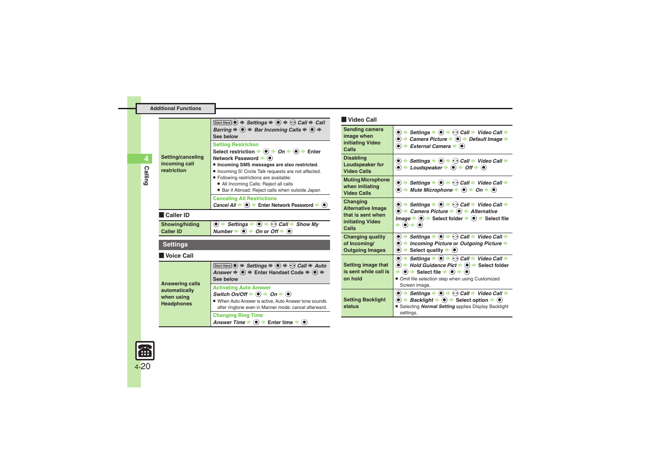| Setting/canceling<br>incoming call<br>restriction                          | Start Here $\circledcirc$ $\Rightarrow$ Settings $\Rightarrow$ $\circledcirc$ $\Rightarrow$ $\circledcirc$ Call $\Rightarrow$ Call<br>Barring $\Rightarrow$ $\circledast$ $\Rightarrow$ Bar Incoming Calls $\Rightarrow$ $\circledast$ $\Rightarrow$<br>See below                                                                                                                                |  |
|----------------------------------------------------------------------------|--------------------------------------------------------------------------------------------------------------------------------------------------------------------------------------------------------------------------------------------------------------------------------------------------------------------------------------------------------------------------------------------------|--|
|                                                                            | <b>Setting Restriction</b><br>Select restriction $\Rightarrow$ (a) $\Rightarrow$ On $\Rightarrow$ (a) $\Rightarrow$ Enter<br>Network Password → (●)<br>. Incoming SMS messages are also restricted.<br>. Incoming S! Circle Talk requests are not affected.<br>· Following restrictions are available:<br>All Incoming Calls: Reject all calls<br>Bar if Abroad: Reject calls when outside Japan |  |
|                                                                            | <b>Canceling All Restrictions</b><br>Cancel All $\Rightarrow$ ( $\bullet$ ) $\Rightarrow$ Enter Network Password $\Rightarrow$ ( $\bullet$ )                                                                                                                                                                                                                                                     |  |
| Caller ID                                                                  |                                                                                                                                                                                                                                                                                                                                                                                                  |  |
| Showing/hiding<br><b>Caller ID</b>                                         | $\textcircled{\bullet}$ $\Rightarrow$ Settings $\Rightarrow$ $\textcircled{\bullet}$ $\Rightarrow$ $\textcircled{\bullet}$ Call $\Rightarrow$ Show My<br>Number $\bullet$ $\bullet$ $\bullet$ On or Off $\bullet$ $\bullet$                                                                                                                                                                      |  |
| Settings                                                                   |                                                                                                                                                                                                                                                                                                                                                                                                  |  |
| l Voice Call                                                               |                                                                                                                                                                                                                                                                                                                                                                                                  |  |
| <b>Answering calls</b><br>automatically<br>when using<br><b>Headphones</b> | Start Here $\textcircled{\bullet} \Rightarrow$ Settings $\Rightarrow$ $\textcircled{\bullet} \Rightarrow$ Call $\Rightarrow$ Auto<br>Answer $\Rightarrow$ ( $\bullet$ ) $\Rightarrow$ Enter Handset Code $\Rightarrow$ ( $\bullet$ ) $\Rightarrow$<br>See below                                                                                                                                  |  |
|                                                                            | <b>Activating Auto Answer</b><br>Switch On/Off $\blacklozenge$ ( $\blacklozenge$ ) $\blacktriangleright$ On $\blacktriangleright$ ( $\blacklozenge$ )<br>. When Auto Answer is active, Auto Answer tone sounds<br>after ringtone even in Manner mode; cancel afterward.                                                                                                                          |  |
|                                                                            | <b>Changing Ring Time</b><br>Answer Time $\Rightarrow$ ( $\bullet$ ) $\Rightarrow$ Enter time $\Rightarrow$ ( $\bullet$ )                                                                                                                                                                                                                                                                        |  |

#### [ **Video Call**

<span id="page-19-3"></span><span id="page-19-2"></span><span id="page-19-1"></span>

| Sending camera<br>image when<br>initiating Video<br>Calls                              | $\bullet$ $\rightarrow$ Settings $\rightarrow$ $\bullet$ $\rightarrow$ $\odot$ Call $\rightarrow$ Video Call $\rightarrow$<br>$\bullet$ $\rightarrow$ Camera Picture $\rightarrow$ $\bullet$ $\rightarrow$ Default Image $\rightarrow$<br>$\bullet \bullet$<br>External Camera $\blacktriangleright$ ( $\blacklozenge$ )                                                                                                               |
|----------------------------------------------------------------------------------------|----------------------------------------------------------------------------------------------------------------------------------------------------------------------------------------------------------------------------------------------------------------------------------------------------------------------------------------------------------------------------------------------------------------------------------------|
| <b>Disabling</b><br>Loudspeaker for<br>Video Calls                                     | $\textcircled{\textbullet}$ $\Rightarrow$ Settings $\Rightarrow$ $\textcircled{\textbullet}$ $\Rightarrow$ Call $\Rightarrow$ Video Call $\Rightarrow$<br>$\bullet$ + Loudspeaker $\bullet$ $\bullet$ + Off $\bullet$ $\bullet$                                                                                                                                                                                                        |
| <b>Muting Microphone</b><br>when initiating<br><b>Video Calls</b>                      | $\bullet$ $\bullet$ Settings $\bullet$ $\bullet$ $\bullet$ Call $\bullet$ Video Call $\bullet$<br>$\textcircled{\textbf{}}$ $\textbullet$ Mute Microphone $\textbullet$ $\textcircled{\textbf{}}$ $\textbullet$ On $\textbullet$ $\textcircled{\textbf{}}$                                                                                                                                                                             |
| Changing<br><b>Alternative Image</b><br>that is sent when<br>initiating Video<br>Calls | $\bullet$ $\bullet$ Settings $\bullet$ $\bullet$ $\bullet$ $\odot$ Call $\bullet$ Video Call $\bullet$<br>$\bullet$ $\bullet$ Camera Picture $\bullet$ $\bullet$ $\bullet$ Alternative<br><i>Image</i> $\Rightarrow$ $\circledcirc$ $\Rightarrow$ Select folder $\Rightarrow$ $\circledcirc$ $\Rightarrow$ Select file<br>$\blacktriangleright$ (e) $\blacklozenge$ (e)                                                                |
| <b>Changing quality</b><br>of Incoming/<br><b>Outgoing Images</b>                      | $\bullet$ $\Rightarrow$ Settings $\Rightarrow$ $\bullet$ $\Rightarrow$ Call $\Rightarrow$ Video Call $\Rightarrow$<br>$\bullet$ $\bullet$ Incoming Picture or Outgoing Picture $\bullet$<br>$\bullet$ $\bullet$ Select quality $\bullet$ $\bullet$                                                                                                                                                                                     |
| Setting image that<br>is sent while call is<br>on hold                                 | $\textcircled{\bullet}$ $\Rightarrow$ Settings $\Rightarrow$ $\textcircled{\bullet}$ $\Rightarrow$ Call $\Rightarrow$ Video Call $\Rightarrow$<br>$\bullet$ $\rightarrow$ Hold Guidance Pict $\rightarrow$ $\bullet$ $\rightarrow$ Select folder<br>$\Rightarrow$ ( $\bullet$ ) $\Rightarrow$ Select file $\Rightarrow$ ( $\bullet$ ) $\Rightarrow$ ( $\bullet$ )<br>• Omit file selection step when using Customized<br>Screen image. |
| <b>Setting Backlight</b><br>status                                                     | $\bullet$ $\Rightarrow$ Settings $\Rightarrow$ $\bullet$ $\Rightarrow$ Call $\Rightarrow$ Video Call $\Rightarrow$<br>$\bullet$ $\Rightarrow$ Backlight $\Rightarrow$ $\bullet$ Select option $\Rightarrow$ $\bullet$ )<br>Selecting Normal Setting applies Display Backlight<br>settings.                                                                                                                                             |

<span id="page-19-0"></span>

**Calling**

<span id="page-19-4"></span>**4**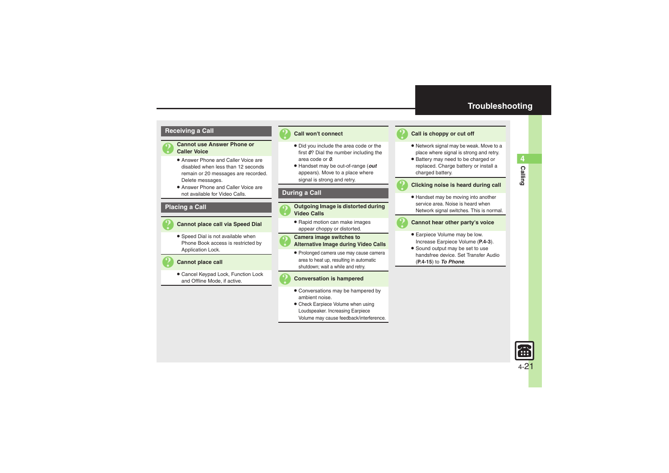### **Troubleshooting**

#### **Receiving a Call**

- 
- 3 **Cannot use Answer Phone or Caller Voice**
	- Answer Phone and Caller Voice are disabled when less than 12 seconds remain or 20 messages are recorded. Delete messages.
	- Answer Phone and Caller Voice are not available for Video Calls.

#### **Placing a Call**



#### 3 **Cannot place call via Speed Dial**

. Speed Dial is not available when Phone Book access is restricted by Application Lock.



#### **Cannot place call**

. Cancel Keypad Lock, Function Lock and Offline Mode, if active.



#### 3 **Call won't connect**

- . Did you include the area code or the first *0*? Dial the number including the area code or *0*.
- . Handset may be out-of-range (*out* appears). Move to a place where signal is strong and retry.

#### **During a Call**

- 3 **Outgoing Image is distorted during Video Calls**
	- . Rapid motion can make images appear choppy or distorted.



## 3 **Camera image switches to Alternative Image during Video Calls**

. Prolonged camera use may cause camera area to heat up, resulting in automatic shutdown; wait a while and retry.



#### 3 **Conversation is hampered**

- . Conversations may be hampered by ambient noise.
- Check Earpiece Volume when using Loudspeaker. Increasing Earpiece Volume may cause feedback/interference.



#### <span id="page-20-0"></span>Call is choppy or cut off

- . Network signal may be weak. Move to a place where signal is strong and retry.
- . Battery may need to be charged or replaced. Charge battery or install a charged battery.

3 **Clicking noise is heard during call**

. Handset may be moving into another service area. Noise is heard when Network signal switches. This is normal.

#### 3 **Cannot hear other party's voice**

- . Earpiece Volume may be low. Increase Earpiece Volume (**[P.4-3](#page-2-1)**).
- Sound output may be set to use handsfree device. Set Transfer Audio (**[P.4-15](#page-14-6)**) to *To Phone*.